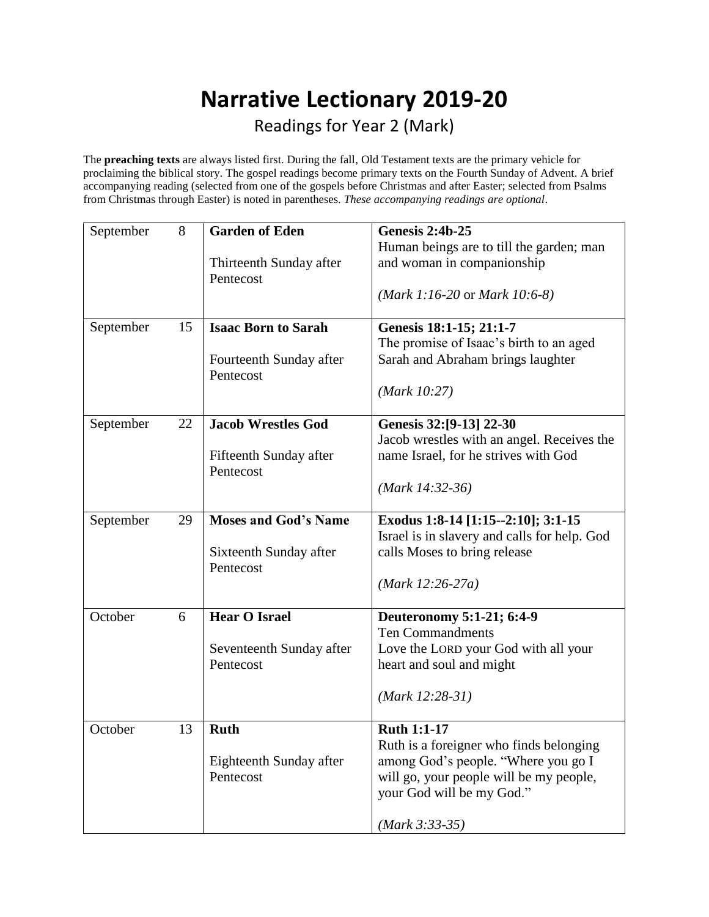## **Narrative Lectionary 2019-20** Readings for Year 2 (Mark)

The **preaching texts** are always listed first. During the fall, Old Testament texts are the primary vehicle for proclaiming the biblical story. The gospel readings become primary texts on the Fourth Sunday of Advent. A brief accompanying reading (selected from one of the gospels before Christmas and after Easter; selected from Psalms from Christmas through Easter) is noted in parentheses. *These accompanying readings are optional*.

| September | 8  | <b>Garden of Eden</b>                | <b>Genesis 2:4b-25</b>                        |
|-----------|----|--------------------------------------|-----------------------------------------------|
|           |    |                                      | Human beings are to till the garden; man      |
|           |    | Thirteenth Sunday after              | and woman in companionship                    |
|           |    | Pentecost                            |                                               |
|           |    |                                      | ( <i>Mark 1:16-20</i> or <i>Mark 10:6-8</i> ) |
| September | 15 | <b>Isaac Born to Sarah</b>           | Genesis 18:1-15; 21:1-7                       |
|           |    |                                      | The promise of Isaac's birth to an aged       |
|           |    | Fourteenth Sunday after<br>Pentecost | Sarah and Abraham brings laughter             |
|           |    |                                      | (Mark 10:27)                                  |
|           |    |                                      |                                               |
| September | 22 | <b>Jacob Wrestles God</b>            | Genesis 32:[9-13] 22-30                       |
|           |    |                                      | Jacob wrestles with an angel. Receives the    |
|           |    | Fifteenth Sunday after               | name Israel, for he strives with God          |
|           |    | Pentecost                            |                                               |
|           |    |                                      | $(Mark 14:32-36)$                             |
|           |    |                                      |                                               |
| September | 29 | <b>Moses and God's Name</b>          | Exodus 1:8-14 [1:15--2:10]; 3:1-15            |
|           |    |                                      | Israel is in slavery and calls for help. God  |
|           |    | Sixteenth Sunday after               | calls Moses to bring release                  |
|           |    | Pentecost                            |                                               |
|           |    |                                      | $(Mark 12:26-27a)$                            |
| October   | 6  | <b>Hear O Israel</b>                 | Deuteronomy 5:1-21; 6:4-9                     |
|           |    |                                      | <b>Ten Commandments</b>                       |
|           |    | Seventeenth Sunday after             | Love the LORD your God with all your          |
|           |    | Pentecost                            | heart and soul and might                      |
|           |    |                                      |                                               |
|           |    |                                      | $(Mark 12:28-31)$                             |
| October   | 13 | <b>Ruth</b>                          | <b>Ruth 1:1-17</b>                            |
|           |    |                                      | Ruth is a foreigner who finds belonging       |
|           |    | Eighteenth Sunday after              | among God's people. "Where you go I           |
|           |    | Pentecost                            | will go, your people will be my people,       |
|           |    |                                      | your God will be my God."                     |
|           |    |                                      |                                               |
|           |    |                                      | $(Mark 3:33-35)$                              |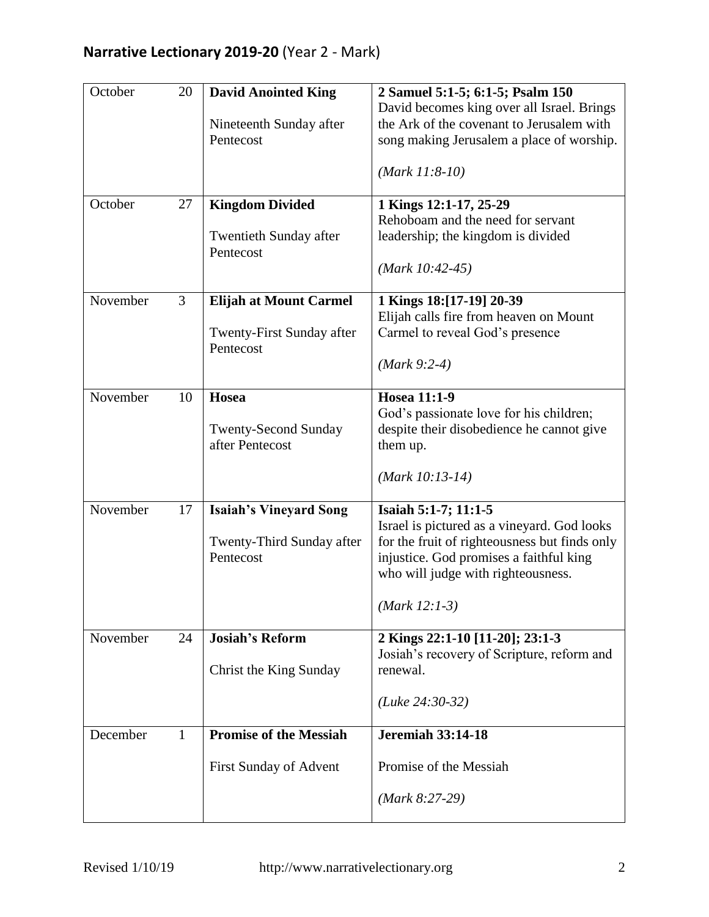| October  | 20           | <b>David Anointed King</b><br>Nineteenth Sunday after<br>Pentecost      | 2 Samuel 5:1-5; 6:1-5; Psalm 150<br>David becomes king over all Israel. Brings<br>the Ark of the covenant to Jerusalem with<br>song making Jerusalem a place of worship.<br>$(Mark 11:8-10)$                             |
|----------|--------------|-------------------------------------------------------------------------|--------------------------------------------------------------------------------------------------------------------------------------------------------------------------------------------------------------------------|
| October  | 27           | <b>Kingdom Divided</b><br><b>Twentieth Sunday after</b><br>Pentecost    | 1 Kings 12:1-17, 25-29<br>Rehoboam and the need for servant<br>leadership; the kingdom is divided<br>$(Mark 10:42-45)$                                                                                                   |
| November | 3            | <b>Elijah at Mount Carmel</b><br>Twenty-First Sunday after<br>Pentecost | 1 Kings 18:[17-19] 20-39<br>Elijah calls fire from heaven on Mount<br>Carmel to reveal God's presence<br>$(Mark 9:2-4)$                                                                                                  |
| November | 10           | Hosea<br><b>Twenty-Second Sunday</b><br>after Pentecost                 | <b>Hosea 11:1-9</b><br>God's passionate love for his children;<br>despite their disobedience he cannot give<br>them up.<br>$(Mark 10:13-14)$                                                                             |
| November | 17           | <b>Isaiah's Vineyard Song</b><br>Twenty-Third Sunday after<br>Pentecost | Isaiah 5:1-7; 11:1-5<br>Israel is pictured as a vineyard. God looks<br>for the fruit of righteousness but finds only<br>injustice. God promises a faithful king<br>who will judge with righteousness.<br>$(Mark 12:1-3)$ |
| November | 24           | <b>Josiah's Reform</b><br>Christ the King Sunday                        | 2 Kings 22:1-10 [11-20]; 23:1-3<br>Josiah's recovery of Scripture, reform and<br>renewal.<br>$(Luke 24:30-32)$                                                                                                           |
| December | $\mathbf{1}$ | <b>Promise of the Messiah</b><br>First Sunday of Advent                 | <b>Jeremiah 33:14-18</b><br>Promise of the Messiah<br>$(Mark 8:27-29)$                                                                                                                                                   |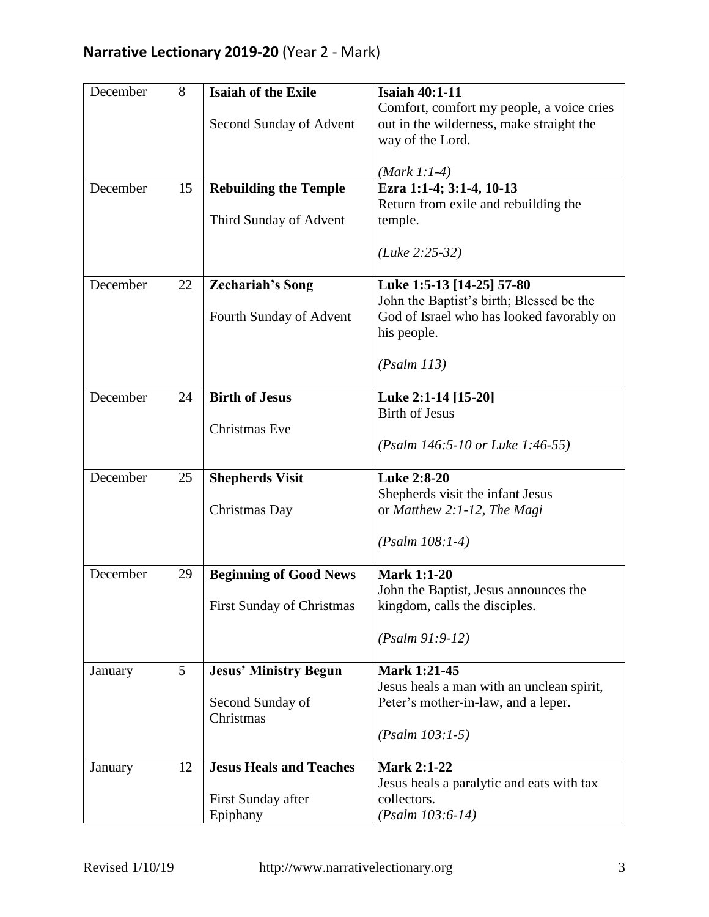| December | 8  | <b>Isaiah of the Exile</b>       | <b>Isaiah 40:1-11</b>                                                  |
|----------|----|----------------------------------|------------------------------------------------------------------------|
|          |    |                                  | Comfort, comfort my people, a voice cries                              |
|          |    | Second Sunday of Advent          | out in the wilderness, make straight the                               |
|          |    |                                  | way of the Lord.                                                       |
|          |    |                                  | $(Mark 1:1-4)$                                                         |
| December | 15 | <b>Rebuilding the Temple</b>     | Ezra 1:1-4; 3:1-4, 10-13                                               |
|          |    |                                  | Return from exile and rebuilding the                                   |
|          |    | Third Sunday of Advent           | temple.                                                                |
|          |    |                                  | $(Luke 2:25-32)$                                                       |
|          |    |                                  |                                                                        |
| December | 22 | <b>Zechariah's Song</b>          | Luke 1:5-13 [14-25] 57-80                                              |
|          |    |                                  | John the Baptist's birth; Blessed be the                               |
|          |    | Fourth Sunday of Advent          | God of Israel who has looked favorably on                              |
|          |    |                                  | his people.                                                            |
|          |    |                                  |                                                                        |
|          |    |                                  | (Psalm 113)                                                            |
| December | 24 | <b>Birth of Jesus</b>            | Luke 2:1-14 [15-20]                                                    |
|          |    |                                  | <b>Birth of Jesus</b>                                                  |
|          |    | <b>Christmas</b> Eve             |                                                                        |
|          |    |                                  | (Psalm 146:5-10 or Luke 1:46-55)                                       |
| December | 25 | <b>Shepherds Visit</b>           | <b>Luke 2:8-20</b>                                                     |
|          |    |                                  | Shepherds visit the infant Jesus                                       |
|          |    | Christmas Day                    | or Matthew 2:1-12, The Magi                                            |
|          |    |                                  |                                                                        |
|          |    |                                  | $(Psalm 108:1-4)$                                                      |
|          |    |                                  |                                                                        |
| December | 29 | <b>Beginning of Good News</b>    | <b>Mark 1:1-20</b>                                                     |
|          |    | <b>First Sunday of Christmas</b> | John the Baptist, Jesus announces the<br>kingdom, calls the disciples. |
|          |    |                                  |                                                                        |
|          |    |                                  | $(Psalm 91:9-12)$                                                      |
|          |    |                                  |                                                                        |
| January  | 5  | <b>Jesus' Ministry Begun</b>     | Mark 1:21-45                                                           |
|          |    |                                  | Jesus heals a man with an unclean spirit,                              |
|          |    | Second Sunday of<br>Christmas    | Peter's mother-in-law, and a leper.                                    |
|          |    |                                  | $(Psalm 103:1-5)$                                                      |
|          |    |                                  |                                                                        |
| January  | 12 | <b>Jesus Heals and Teaches</b>   | <b>Mark 2:1-22</b>                                                     |
|          |    |                                  | Jesus heals a paralytic and eats with tax                              |
|          |    | First Sunday after               | collectors.                                                            |
|          |    | Epiphany                         | $(Psalm 103:6-14)$                                                     |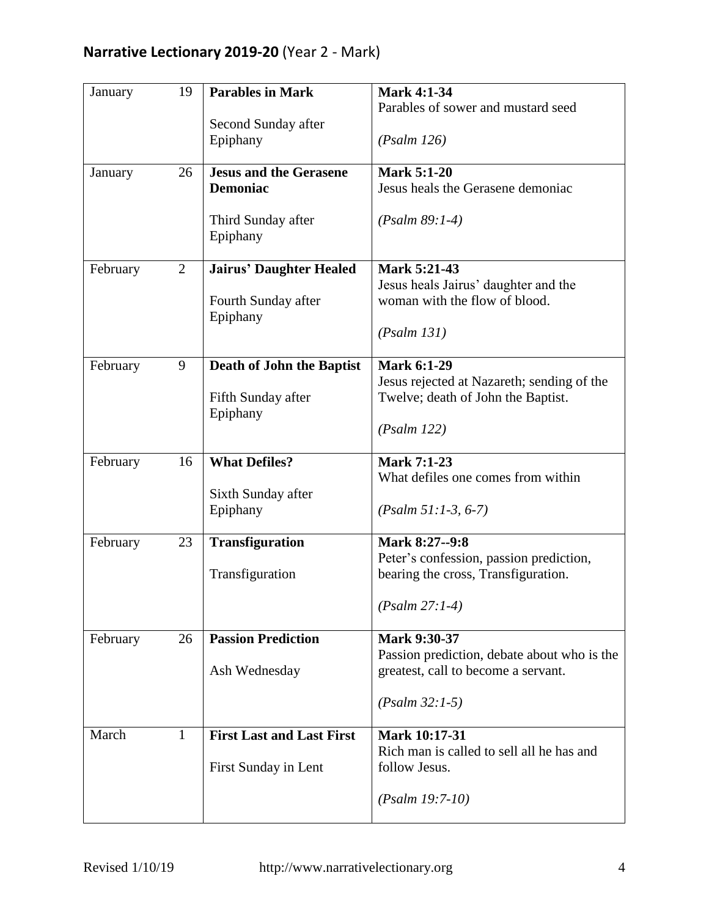| January  | 19             | <b>Parables in Mark</b><br>Second Sunday after<br>Epiphany                         | <b>Mark 4:1-34</b><br>Parables of sower and mustard seed<br>(Psalm 126)                                                       |
|----------|----------------|------------------------------------------------------------------------------------|-------------------------------------------------------------------------------------------------------------------------------|
| January  | 26             | <b>Jesus and the Gerasene</b><br><b>Demoniac</b><br>Third Sunday after<br>Epiphany | <b>Mark 5:1-20</b><br>Jesus heals the Gerasene demoniac<br>$(Psalm 89:1-4)$                                                   |
| February | $\overline{2}$ | <b>Jairus' Daughter Healed</b><br>Fourth Sunday after<br>Epiphany                  | Mark 5:21-43<br>Jesus heals Jairus' daughter and the<br>woman with the flow of blood.<br>(Psalm 131)                          |
| February | 9              | <b>Death of John the Baptist</b><br>Fifth Sunday after<br>Epiphany                 | <b>Mark 6:1-29</b><br>Jesus rejected at Nazareth; sending of the<br>Twelve; death of John the Baptist.<br>(Psalm 122)         |
| February | 16             | <b>What Defiles?</b><br>Sixth Sunday after<br>Epiphany                             | <b>Mark 7:1-23</b><br>What defiles one comes from within<br>$(Psalm 51:1-3, 6-7)$                                             |
| February | 23             | <b>Transfiguration</b><br>Transfiguration                                          | Mark 8:27--9:8<br>Peter's confession, passion prediction,<br>bearing the cross, Transfiguration.<br>$(Psalm 27:1-4)$          |
| February | 26             | <b>Passion Prediction</b><br>Ash Wednesday                                         | <b>Mark 9:30-37</b><br>Passion prediction, debate about who is the<br>greatest, call to become a servant.<br>$(Psalm 32:1-5)$ |
| March    | $\mathbf{1}$   | <b>First Last and Last First</b><br>First Sunday in Lent                           | Mark 10:17-31<br>Rich man is called to sell all he has and<br>follow Jesus.<br>$(Psalm 19:7-10)$                              |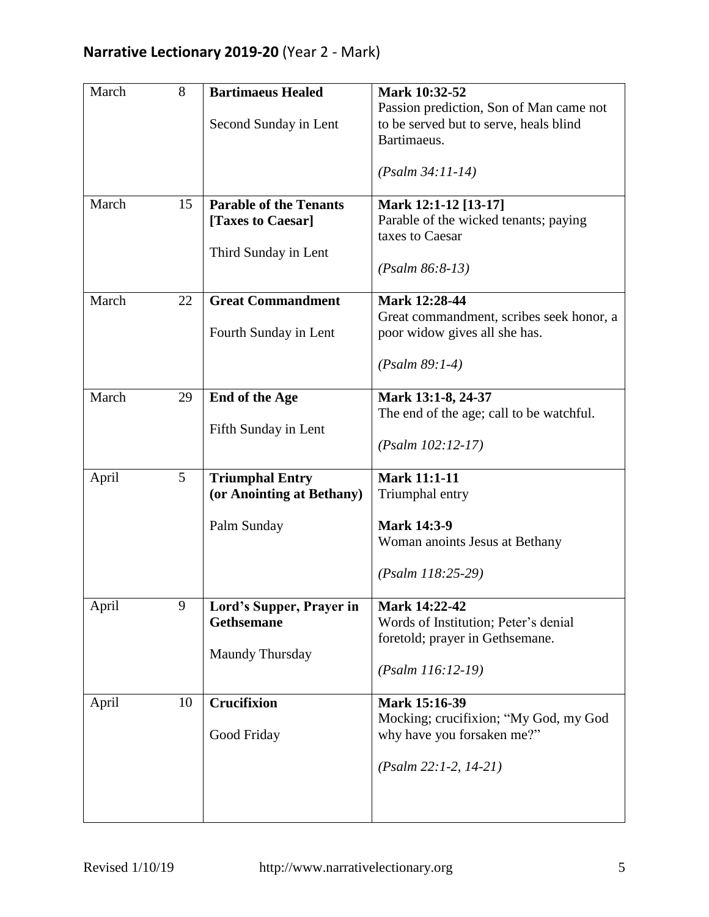| March | 8  | <b>Bartimaeus Healed</b><br>Second Sunday in Lent                          | Mark 10:32-52<br>Passion prediction, Son of Man came not<br>to be served but to serve, heals blind<br>Bartimaeus.<br>$(Psalm 34:11-14)$ |
|-------|----|----------------------------------------------------------------------------|-----------------------------------------------------------------------------------------------------------------------------------------|
| March | 15 | <b>Parable of the Tenants</b><br>[Taxes to Caesar]<br>Third Sunday in Lent | Mark 12:1-12 [13-17]<br>Parable of the wicked tenants; paying<br>taxes to Caesar<br>$(Psalm 86:8-13)$                                   |
| March | 22 | <b>Great Commandment</b><br>Fourth Sunday in Lent                          | Mark 12:28-44<br>Great commandment, scribes seek honor, a<br>poor widow gives all she has.<br>$(Psalm 89:1-4)$                          |
| March | 29 | <b>End of the Age</b><br>Fifth Sunday in Lent                              | Mark 13:1-8, 24-37<br>The end of the age; call to be watchful.<br>$(Psalm 102:12-17)$                                                   |
| April | 5  | <b>Triumphal Entry</b><br>(or Anointing at Bethany)<br>Palm Sunday         | <b>Mark 11:1-11</b><br>Triumphal entry<br><b>Mark 14:3-9</b><br>Woman anoints Jesus at Bethany<br>$(Psalm 118:25-29)$                   |
| April | 9  | Lord's Supper, Prayer in<br>Gethsemane<br>Maundy Thursday                  | Mark 14:22-42<br>Words of Institution; Peter's denial<br>foretold; prayer in Gethsemane.<br>$(Psalm 116:12-19)$                         |
| April | 10 | <b>Crucifixion</b><br>Good Friday                                          | Mark 15:16-39<br>Mocking; crucifixion; "My God, my God<br>why have you forsaken me?"<br>$(Psalm 22:1-2, 14-21)$                         |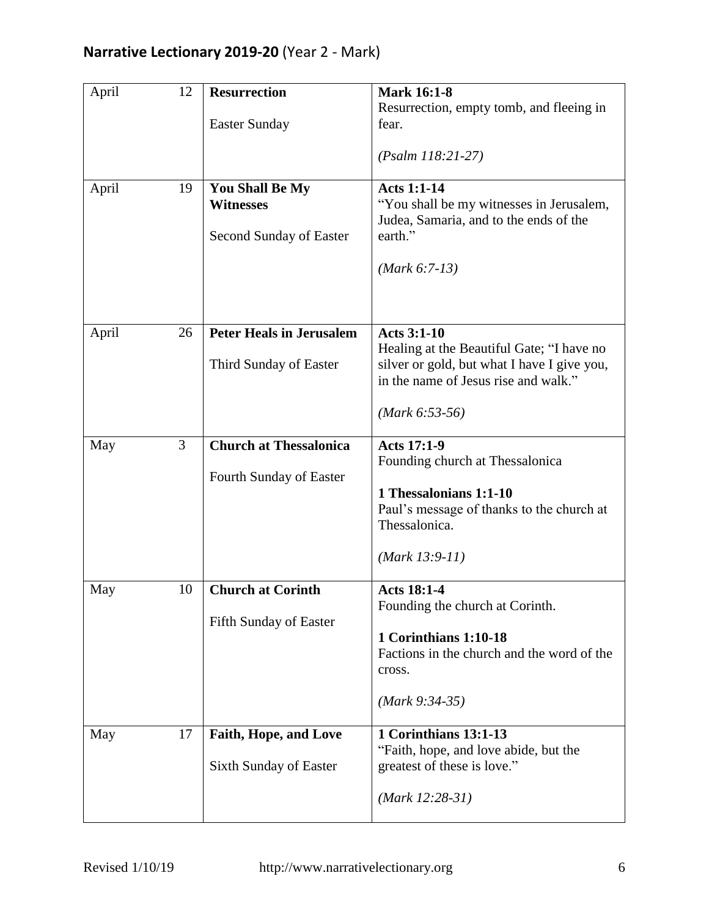| April | 12             | <b>Resurrection</b>                                            | <b>Mark 16:1-8</b><br>Resurrection, empty tomb, and fleeing in                                                                                                             |
|-------|----------------|----------------------------------------------------------------|----------------------------------------------------------------------------------------------------------------------------------------------------------------------------|
|       |                | <b>Easter Sunday</b>                                           | fear.                                                                                                                                                                      |
|       |                |                                                                | $(Psalm 118:21-27)$                                                                                                                                                        |
| April | 19             | You Shall Be My<br><b>Witnesses</b><br>Second Sunday of Easter | <b>Acts 1:1-14</b><br>"You shall be my witnesses in Jerusalem,<br>Judea, Samaria, and to the ends of the<br>earth."<br>$(Mark 6:7-13)$                                     |
| April | 26             | <b>Peter Heals in Jerusalem</b><br>Third Sunday of Easter      | <b>Acts 3:1-10</b><br>Healing at the Beautiful Gate; "I have no<br>silver or gold, but what I have I give you,<br>in the name of Jesus rise and walk."<br>$(Mark 6:53-56)$ |
| May   | $\overline{3}$ | <b>Church at Thessalonica</b><br>Fourth Sunday of Easter       | <b>Acts 17:1-9</b><br>Founding church at Thessalonica<br>1 Thessalonians 1:1-10<br>Paul's message of thanks to the church at<br>Thessalonica.<br>$(Mark 13:9-11)$          |
| May   | 10             | <b>Church at Corinth</b><br>Fifth Sunday of Easter             | <b>Acts 18:1-4</b><br>Founding the church at Corinth.<br>1 Corinthians 1:10-18<br>Factions in the church and the word of the<br>cross.<br>$(Mark 9:34-35)$                 |
| May   | 17             | <b>Faith, Hope, and Love</b><br><b>Sixth Sunday of Easter</b>  | 1 Corinthians 13:1-13<br>"Faith, hope, and love abide, but the<br>greatest of these is love."<br>$(Mark 12:28-31)$                                                         |